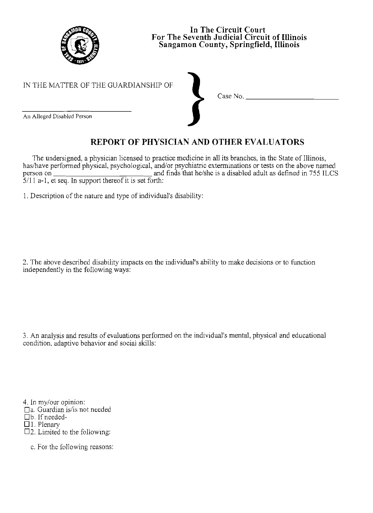

| In The Circuit Court                         |
|----------------------------------------------|
| For The Seventh Judicial Circuit of Illinois |
| Sangamon County, Springfield, Illinois       |

Case No. \_

IN THE MATTER OF THE GUARDIANSHIP OF

An Alleged Disabled Person

## **REPORT OF PHYSICIAN AND OTHER EVALUATORS**

The undersigned, a physician licensed to practice medicine in all its branches, in the State of Illinois, has/have performed physical, psychological, and/or psychiatric exterminations or tests on the above named haslhave performed physical, psychological, and/or psychiatric exterminations or tests on the above named person on and finds that he/she is a disabled adult as defined in 755 ILCS 5/11 a-I, et seq. In support thereof it is set forth:

1. Description of the nature and type of individual's disability:

2. The above described disability impacts on the individual's ability to make decisions or to function independently in the following ways:

3. An analysis and results of evaluations performed on the individual's mental, physical and educational condition, adaptive behavior and social skills:

4. In my/our opinion:

□a. Guardian is/is not needed

b.lfneeded-

 $\overline{\Box}$  1. Plenary

 $\square$ 2. Limited to the following:

c. For the following reasons: